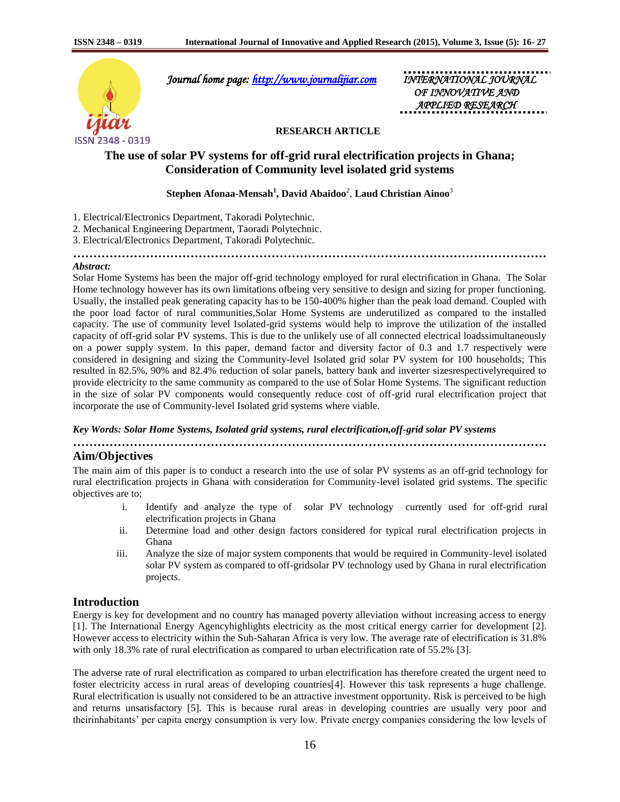

 *Journal home page: [http://www.journalijiar.com](http://www.journalijiar.com/) INTERNATIONAL JOURNAL* 

 *OF INNOVATIVE AND APPLIED RESEARCH* 

## **RESEARCH ARTICLE**

# **The use of solar PV systems for off-grid rural electrification projects in Ghana; Consideration of Community level isolated grid systems**

# **Stephen Afonaa-Mensah<sup>1</sup> , David Abaidoo**<sup>2</sup> , **Laud Christian Ainoo**<sup>3</sup>

**………………………………………………………………………………………………………**

1. Electrical/Electronics Department, Takoradi Polytechnic.

- 2. Mechanical Engineering Department, Taoradi Polytechnic.
- 3. Electrical/Electronics Department, Takoradi Polytechnic.

### *Abstract:*

Solar Home Systems has been the major off-grid technology employed for rural electrification in Ghana. The Solar Home technology however has its own limitations ofbeing very sensitive to design and sizing for proper functioning. Usually, the installed peak generating capacity has to be 150-400% higher than the peak load demand. Coupled with the poor load factor of rural communities,Solar Home Systems are underutilized as compared to the installed capacity. The use of community level Isolated-grid systems would help to improve the utilization of the installed capacity of off-grid solar PV systems. This is due to the unlikely use of all connected electrical loadssimultaneously on a power supply system. In this paper, demand factor and diversity factor of 0.3 and 1.7 respectively were considered in designing and sizing the Community-level Isolated grid solar PV system for 100 households; This resulted in 82.5%, 90% and 82.4% reduction of solar panels, battery bank and inverter sizesrespectivelyrequired to provide electricity to the same community as compared to the use of Solar Home Systems. The significant reduction in the size of solar PV components would consequently reduce cost of off-grid rural electrification project that incorporate the use of Community-level Isolated grid systems where viable.

### *Key Words: Solar Home Systems, Isolated grid systems, rural electrification,off-grid solar PV systems*

**………………………………………………………………………………………………………**

# **Aim/Objectives**

The main aim of this paper is to conduct a research into the use of solar PV systems as an off-grid technology for rural electrification projects in Ghana with consideration for Community-level isolated grid systems. The specific objectives are to;

- i. Identify and analyze the type of solar PV technology currently used for off-grid rural electrification projects in Ghana
- ii. Determine load and other design factors considered for typical rural electrification projects in Ghana
- iii. Analyze the size of major system components that would be required in Community-level isolated solar PV system as compared to off-gridsolar PV technology used by Ghana in rural electrification projects.

# **Introduction**

Energy is key for development and no country has managed poverty alleviation without increasing access to energy [1]. The International Energy Agencyhighlights electricity as the most critical energy carrier for development [2]. However access to electricity within the Sub-Saharan Africa is very low. The average rate of electrification is 31.8% with only 18.3% rate of rural electrification as compared to urban electrification rate of 55.2% [3].

The adverse rate of rural electrification as compared to urban electrification has therefore created the urgent need to foster electricity access in rural areas of developing countries[4]. However this task represents a huge challenge. Rural electrification is usually not considered to be an attractive investment opportunity. Risk is perceived to be high and returns unsatisfactory [5]. This is because rural areas in developing countries are usually very poor and theirinhabitants' per capita energy consumption is very low. Private energy companies considering the low levels of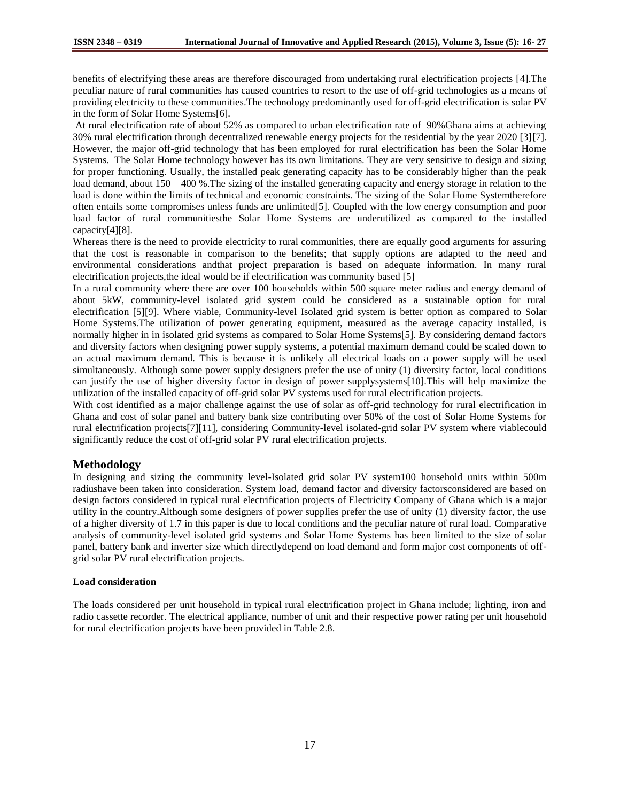benefits of electrifying these areas are therefore discouraged from undertaking rural electrification projects [4].The peculiar nature of rural communities has caused countries to resort to the use of off-grid technologies as a means of providing electricity to these communities.The technology predominantly used for off-grid electrification is solar PV in the form of Solar Home Systems[6].

At rural electrification rate of about 52% as compared to urban electrification rate of 90%Ghana aims at achieving 30% rural electrification through decentralized renewable energy projects for the residential by the year 2020 [3][7]. However, the major off-grid technology that has been employed for rural electrification has been the Solar Home Systems. The Solar Home technology however has its own limitations. They are very sensitive to design and sizing for proper functioning. Usually, the installed peak generating capacity has to be considerably higher than the peak load demand, about  $150 - 400$  %. The sizing of the installed generating capacity and energy storage in relation to the load is done within the limits of technical and economic constraints. The sizing of the Solar Home Systemtherefore often entails some compromises unless funds are unlimited[5]. Coupled with the low energy consumption and poor load factor of rural communitiesthe Solar Home Systems are underutilized as compared to the installed capacity[4][8].

Whereas there is the need to provide electricity to rural communities, there are equally good arguments for assuring that the cost is reasonable in comparison to the benefits; that supply options are adapted to the need and environmental considerations andthat project preparation is based on adequate information. In many rural electrification projects,the ideal would be if electrification was community based [5]

In a rural community where there are over 100 households within 500 square meter radius and energy demand of about 5kW, community-level isolated grid system could be considered as a sustainable option for rural electrification [5][9]. Where viable, Community-level Isolated grid system is better option as compared to Solar Home Systems.The utilization of power generating equipment, measured as the average capacity installed, is normally higher in in isolated grid systems as compared to Solar Home Systems[5]. By considering demand factors and diversity factors when designing power supply systems, a potential maximum demand could be scaled down to an actual maximum demand. This is because it is unlikely all electrical loads on a power supply will be used simultaneously. Although some power supply designers prefer the use of unity (1) diversity factor, local conditions can justify the use of higher diversity factor in design of power supplysystems[10].This will help maximize the utilization of the installed capacity of off-grid solar PV systems used for rural electrification projects.

With cost identified as a major challenge against the use of solar as off-grid technology for rural electrification in Ghana and cost of solar panel and battery bank size contributing over 50% of the cost of Solar Home Systems for rural electrification projects[7][11], considering Community-level isolated-grid solar PV system where viablecould significantly reduce the cost of off-grid solar PV rural electrification projects.

# **Methodology**

In designing and sizing the community level-Isolated grid solar PV system100 household units within 500m radiushave been taken into consideration. System load, demand factor and diversity factorsconsidered are based on design factors considered in typical rural electrification projects of Electricity Company of Ghana which is a major utility in the country.Although some designers of power supplies prefer the use of unity (1) diversity factor, the use of a higher diversity of 1.7 in this paper is due to local conditions and the peculiar nature of rural load. Comparative analysis of community-level isolated grid systems and Solar Home Systems has been limited to the size of solar panel, battery bank and inverter size which directlydepend on load demand and form major cost components of offgrid solar PV rural electrification projects.

### **Load consideration**

The loads considered per unit household in typical rural electrification project in Ghana include; lighting, iron and radio cassette recorder. The electrical appliance, number of unit and their respective power rating per unit household for rural electrification projects have been provided in Table 2.8.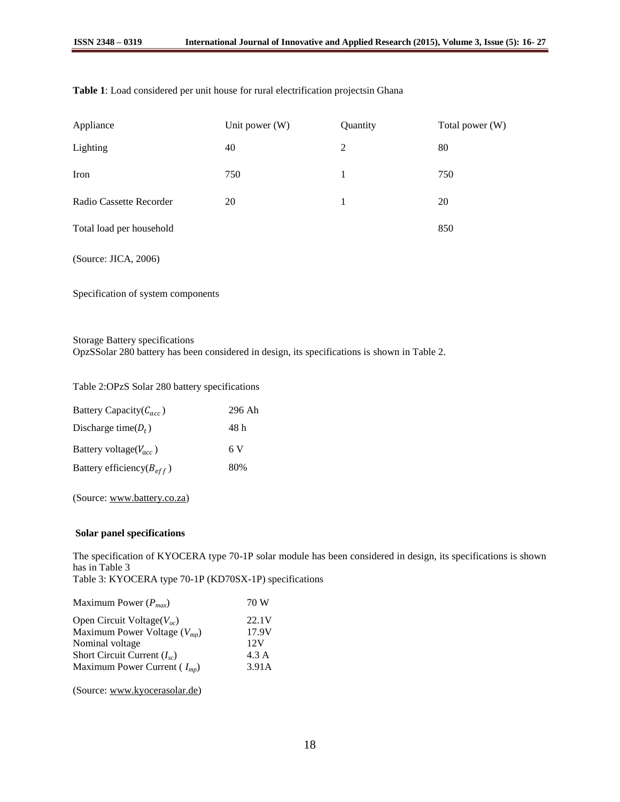| Appliance                | Unit power $(W)$ | Quantity | Total power (W) |
|--------------------------|------------------|----------|-----------------|
| Lighting                 | 40               | 2        | 80              |
| Iron                     | 750              | 1        | 750             |
| Radio Cassette Recorder  | 20               | 1        | 20              |
| Total load per household |                  |          | 850             |
|                          |                  |          |                 |

## **Table 1**: Load considered per unit house for rural electrification projectsin Ghana

(Source: JICA, 2006)

Specification of system components

Storage Battery specifications

OpzSSolar 280 battery has been considered in design, its specifications is shown in Table 2.

Table 2:OPzS Solar 280 battery specifications

| Battery Capacity( $C_{acc}$ )   | 296 Ah |
|---------------------------------|--------|
| Discharge time( $D_t$ )         | 48 h   |
| Battery voltage( $V_{acc}$ )    | 6 V    |
| Battery efficiency( $B_{eff}$ ) | 80%    |

(Source: [www.battery.co.za\)](http://www.battery.co.za/)

## **Solar panel specifications**

The specification of KYOCERA type 70-1P solar module has been considered in design, its specifications is shown has in Table 3

Table 3: KYOCERA type 70-1P (KD70SX-1P) specifications

| Maximum Power $(P_{max})$        | 70 W  |
|----------------------------------|-------|
| Open Circuit Voltage( $V_{oc}$ ) | 22.1V |
| Maximum Power Voltage $(V_{mn})$ | 17.9V |
| Nominal voltage                  | 12V   |
| Short Circuit Current $(I_{sc})$ | 4.3 A |
| Maximum Power Current $(I_{mp})$ | 3.91A |
|                                  |       |

(Source: [www.kyocerasolar.de\)](http://www.kyocerasolar.de/)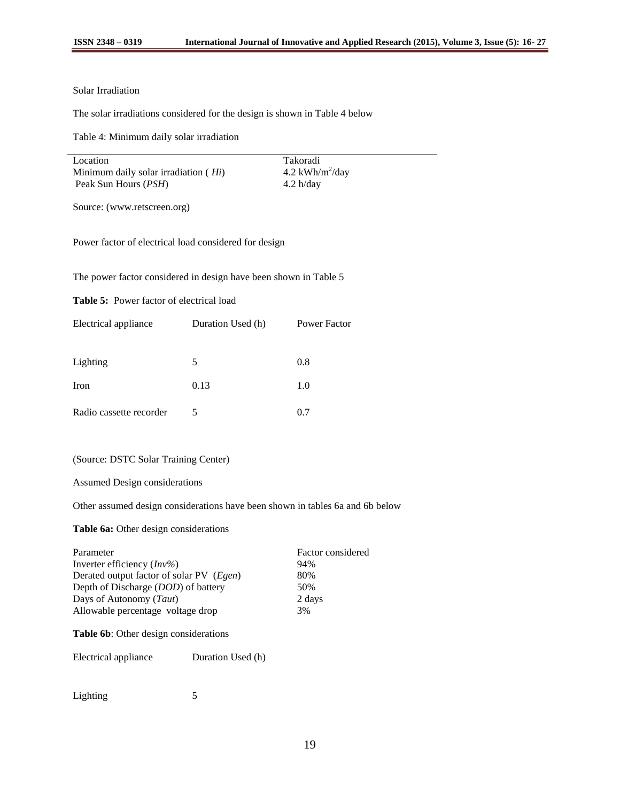### Solar Irradiation

The solar irradiations considered for the design is shown in Table 4 below

Table 4: Minimum daily solar irradiation

| Location                               | Takoradi                    |
|----------------------------------------|-----------------------------|
| Minimum daily solar irradiation $(Hi)$ | 4.2 kWh/m <sup>2</sup> /day |
| Peak Sun Hours ( <i>PSH</i> )          | 4.2 h/day                   |

Source: (www.retscreen.org)

Power factor of electrical load considered for design

The power factor considered in design have been shown in Table 5

**Table 5:** Power factor of electrical load

| Electrical appliance    | Duration Used (h) | Power Factor |
|-------------------------|-------------------|--------------|
|                         |                   |              |
| Lighting                | 5                 | 0.8          |
| Iron                    | 0.13              | 1.0          |
| Radio cassette recorder | 5                 | 0.7          |

### (Source: DSTC Solar Training Center)

Assumed Design considerations

Other assumed design considerations have been shown in tables 6a and 6b below

## **Table 6a:** Other design considerations

| Parameter                                | Factor considered |
|------------------------------------------|-------------------|
| Inverter efficiency $(Inv\%)$            | 94%               |
| Derated output factor of solar PV (Egen) | 80%               |
| Depth of Discharge (DOD) of battery      | 50%               |
| Days of Autonomy (Taut)                  | 2 days            |
| Allowable percentage voltage drop        | 3%                |
|                                          |                   |

# **Table 6b**: Other design considerations

Electrical appliance Duration Used (h)

| Lighting |  |
|----------|--|
|----------|--|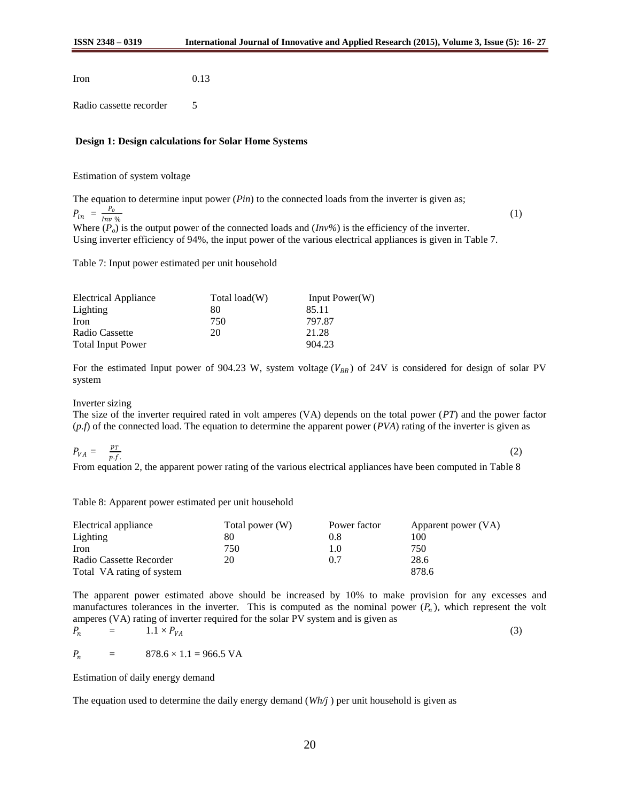Iron 0.13

Radio cassette recorder 5

### **Design 1: Design calculations for Solar Home Systems**

Estimation of system voltage

The equation to determine input power (*Pin*) to the connected loads from the inverter is given as;  $P_{in} = \frac{P_o}{I_{min}}$ %

Where  $(P_o)$  is the output power of the connected loads and  $(Inv\%)$  is the efficiency of the inverter. Using inverter efficiency of 94%, the input power of the various electrical appliances is given in Table 7.

Table 7: Input power estimated per unit household

| <b>Electrical Appliance</b> | Total load(W) | Input $Power(W)$ |
|-----------------------------|---------------|------------------|
| <b>Lighting</b>             | 80            | 85.11            |
| <b>Iron</b>                 | 750           | 797.87           |
| Radio Cassette              | 20            | 21.28            |
| <b>Total Input Power</b>    |               | 904.23           |

For the estimated Input power of 904.23 W, system voltage  $(V_{BB})$  of 24V is considered for design of solar PV system

Inverter sizing

The size of the inverter required rated in volt amperes (VA) depends on the total power (*PT*) and the power factor (*p.f*) of the connected load. The equation to determine the apparent power (*PVA*) rating of the inverter is given as

$$
P_{VA} = \frac{p_T}{p.f.}
$$
 (2)

From equation 2, the apparent power rating of the various electrical appliances have been computed in Table 8

Table 8: Apparent power estimated per unit household

| Electrical appliance      | Total power (W) | Power factor      | Apparent power (VA) |
|---------------------------|-----------------|-------------------|---------------------|
| Lighting                  | 80              | 0.8               | 100                 |
| <b>Iron</b>               | 750             | $\mathsf{I}$ . () | 750                 |
| Radio Cassette Recorder   | 20              | 0.7               | 28.6                |
| Total VA rating of system |                 |                   | 878.6               |

The apparent power estimated above should be increased by 10% to make provision for any excesses and manufactures tolerances in the inverter. This is computed as the nominal power  $(P_n)$ , which represent the volt amperes (VA) rating of inverter required for the solar PV system and is given as

$$
P_n = 1.1 \times P_{VA} \tag{3}
$$

 $P_n = 878.6 \times 1.1 = 966.5 \text{ VA}$ 

Estimation of daily energy demand

The equation used to determine the daily energy demand (*Wh/j* ) per unit household is given as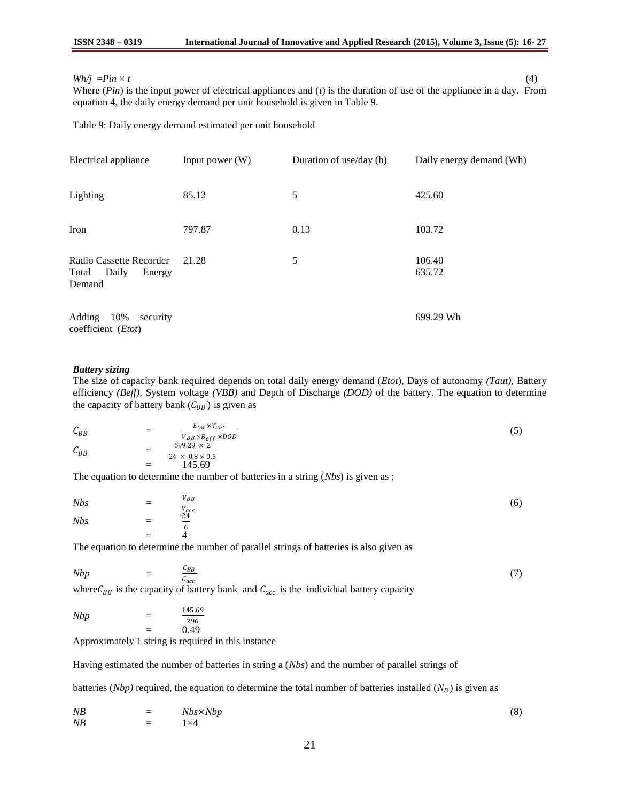### $Wh/j = Pin \times t$  (4)

Where (*Pin*) is the input power of electrical appliances and (*t*) is the duration of use of the appliance in a day. From equation 4, the daily energy demand per unit household is given in Table 9.

Table 9: Daily energy demand estimated per unit household

| Electrical appliance                                          | Input power $(W)$ | Duration of use/day (h) | Daily energy demand (Wh) |
|---------------------------------------------------------------|-------------------|-------------------------|--------------------------|
| Lighting                                                      | 85.12             | 5                       | 425.60                   |
| Iron                                                          | 797.87            | 0.13                    | 103.72                   |
| Radio Cassette Recorder<br>Total<br>Daily<br>Energy<br>Demand | 21.28             | 5                       | 106.40<br>635.72         |
| 10%<br>Adding<br>security<br>coefficient (Etot)               |                   |                         | 699.29 Wh                |

### *Battery sizing*

The size of capacity bank required depends on total daily energy demand (*Etot*), Days of autonomy *(Taut),* Battery efficiency *(Beff),* System voltage *(VBB)* and Depth of Discharge *(DOD)* of the battery. The equation to determine the capacity of battery bank  $(C_{BB})$  is given as

$$
C_{BB} = \frac{E_{tot} \times T_{aut}}{V_{BB} \times B_{eff} \times DOD}
$$
  
= 
$$
\frac{699.29 \times 2}{24 \times 0.8 \times 0.5}
$$
  
= 145.69

The equation to determine the number of batteries in a string (*Nbs*) is given as ;

| Nb <sub>s</sub> | $\equiv$ | $\underline{V_{BB}}$ | (6) |
|-----------------|----------|----------------------|-----|
| Nb <sub>s</sub> | $\equiv$ | $\frac{V_{acc}}{24}$ |     |
|                 | $=$      |                      |     |

The equation to determine the number of parallel strings of batteries is also given as

$$
Nbp = \frac{C_{BB}}{C_{acc}}
$$
\nwhere  $C$  is the capacity of battery bank, and  $C$  is the individual battery capacity.

\n
$$
(7)
$$

where  $C_{BB}$  is the capacity of battery bank and  $C_{acc}$  is the individual battery capacity

$$
Nbp = \frac{145.69}{296} = 0.49
$$

Approximately 1 string is required in this instance

Having estimated the number of batteries in string a (*Nbs*) and the number of parallel strings of

batteries (*Nbp*) required, the equation to determine the total number of batteries installed ( $N_B$ ) is given as

$$
NB = Nbs \times Nbp
$$
  
\n
$$
NB = 1 \times 4
$$
 (8)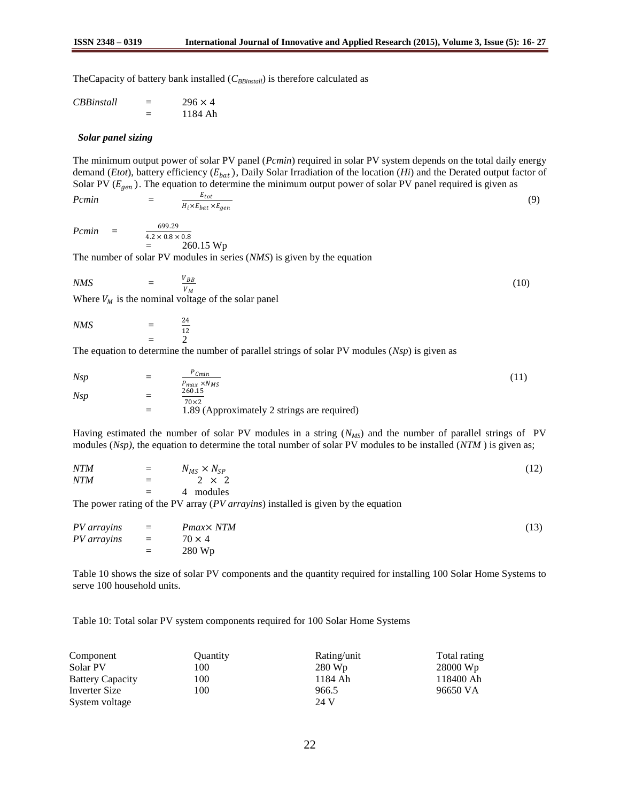TheCapacity of battery bank installed (*CBBinstall*) is therefore calculated as

| <i>CBBinstall</i> | $296 \times 4$ |
|-------------------|----------------|
|                   | 1184 Ah        |

#### *Solar panel sizing*

*Pcmin* =

The minimum output power of solar PV panel (*Pcmin*) required in solar PV system depends on the total daily energy demand (*Etot*), battery efficiency ( $E_{bat}$ ), Daily Solar Irradiation of the location (*Hi*) and the Derated output factor of Solar PV ( $E_{gen}$ ). The equation to determine the minimum output power of solar PV panel required is given as

$$
\frac{E_{tot}}{H_i \times E_{bat} \times E_{gen}} \tag{9}
$$

*Pcmin* =

 $4.2 \times 0.8 \times 0.8$  $= 260.15 \text{ Wp}$ 

The number of solar PV modules in series (*NMS*) is given by the equation

$$
NMS = \frac{V_{BB}}{V_M} \tag{10}
$$

Where  $V_M$  is the nominal voltage of the solar panel

699.29

*NMS* = 24 12  $\mathcal{D}$ 

The equation to determine the number of parallel strings of solar PV modules (*Nsp*) is given as

$$
Nsp = \frac{P_{Cmin}}{P_{max} \times N_{MS}}
$$
  
= 
$$
\frac{260.15}{70 \times 2}
$$
  
= 1.89 (Approximately 2 strings are required) (11)

Having estimated the number of solar PV modules in a string ( $N<sub>MS</sub>$ ) and the number of parallel strings of PV modules (*Nsp)*, the equation to determine the total number of solar PV modules to be installed (*NTM* ) is given as;

| <b>NTM</b> | $=$ $N_{MS} \times N_{SP}$ | (12) |
|------------|----------------------------|------|
| <b>NTM</b> | $=$ 2 $\times$ 2           |      |
|            | $= 4$ modules              |      |

The power rating of the PV array (*PV arrayins*) installed is given by the equation

|                                |     | $PV \, arrays \quad = \quad P \, max \times N \, TM$ | (13) |
|--------------------------------|-----|------------------------------------------------------|------|
| $PV \, arrayins = 70 \times 4$ |     |                                                      |      |
|                                | $=$ | 280 Wp                                               |      |

Table 10 shows the size of solar PV components and the quantity required for installing 100 Solar Home Systems to serve 100 household units.

Table 10: Total solar PV system components required for 100 Solar Home Systems

| Component               | Ouantity | Rating/unit | Total rating |
|-------------------------|----------|-------------|--------------|
| Solar PV                | 100      | 280 Wp      | 28000 Wp     |
| <b>Battery Capacity</b> | 100      | 1184 Ah     | 118400 Ah    |
| Inverter Size           | 100      | 966.5       | 96650 VA     |
| System voltage          |          | 24 V        |              |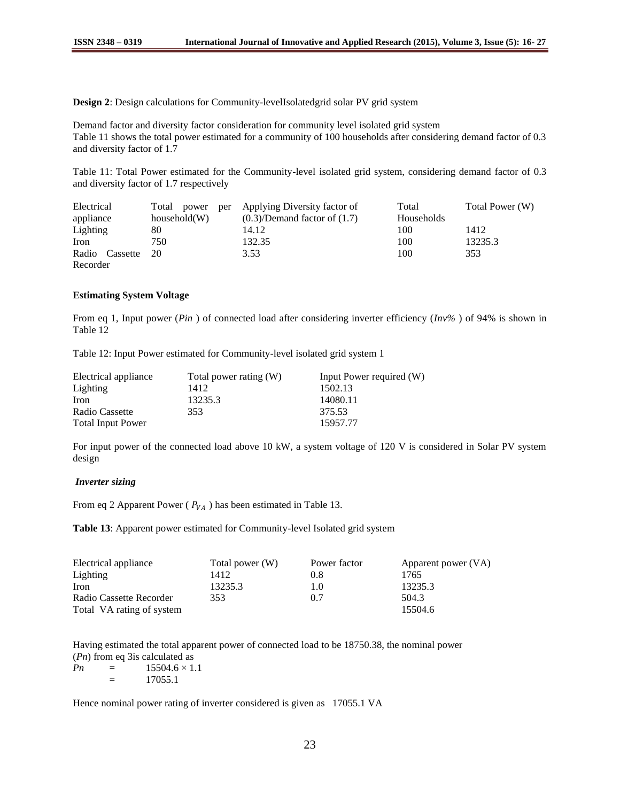**Design 2**: Design calculations for Community-levelIsolatedgrid solar PV grid system

Demand factor and diversity factor consideration for community level isolated grid system Table 11 shows the total power estimated for a community of 100 households after considering demand factor of 0.3 and diversity factor of 1.7

Table 11: Total Power estimated for the Community-level isolated grid system, considering demand factor of 0.3 and diversity factor of 1.7 respectively

| Electrical        |              | Total power per Applying Diversity factor of | Total      | Total Power (W) |
|-------------------|--------------|----------------------------------------------|------------|-----------------|
| appliance         | household(W) | $(0.3)/$ Demand factor of $(1.7)$            | Households |                 |
| Lighting          | 80           | 14.12                                        | 100        | 1412            |
| Iron              | 750          | 132.35                                       | 100        | 13235.3         |
| Radio Cassette 20 |              | 3.53                                         | 100        | 353             |
| Recorder          |              |                                              |            |                 |

### **Estimating System Voltage**

From eq 1, Input power (*Pin* ) of connected load after considering inverter efficiency (*Inv%* ) of 94% is shown in Table 12

Table 12: Input Power estimated for Community-level isolated grid system 1

| Electrical appliance     | Total power rating (W) | Input Power required (W) |
|--------------------------|------------------------|--------------------------|
| Lighting                 | 1412                   | 1502.13                  |
| Iron                     | 13235.3                | 14080.11                 |
| Radio Cassette           | 353                    | 375.53                   |
| <b>Total Input Power</b> |                        | 15957.77                 |

For input power of the connected load above 10 kW, a system voltage of 120 V is considered in Solar PV system design

### *Inverter sizing*

From eq 2 Apparent Power ( $P_{VA}$ ) has been estimated in Table 13.

**Table 13**: Apparent power estimated for Community-level Isolated grid system

| Electrical appliance      | Total power (W) | Power factor | Apparent power (VA) |
|---------------------------|-----------------|--------------|---------------------|
| Lighting                  | 1412            | 0.8          | 1765                |
| Iron                      | 13235.3         | 1.0          | 13235.3             |
| Radio Cassette Recorder   | 353             | 0.7          | 504.3               |
| Total VA rating of system |                 |              | 15504.6             |

Having estimated the total apparent power of connected load to be 18750.38, the nominal power (*Pn*) from eq 3is calculated as

 $Pn = 15504.6 \times 1.1$  $=$  17055.1

Hence nominal power rating of inverter considered is given as 17055.1 VA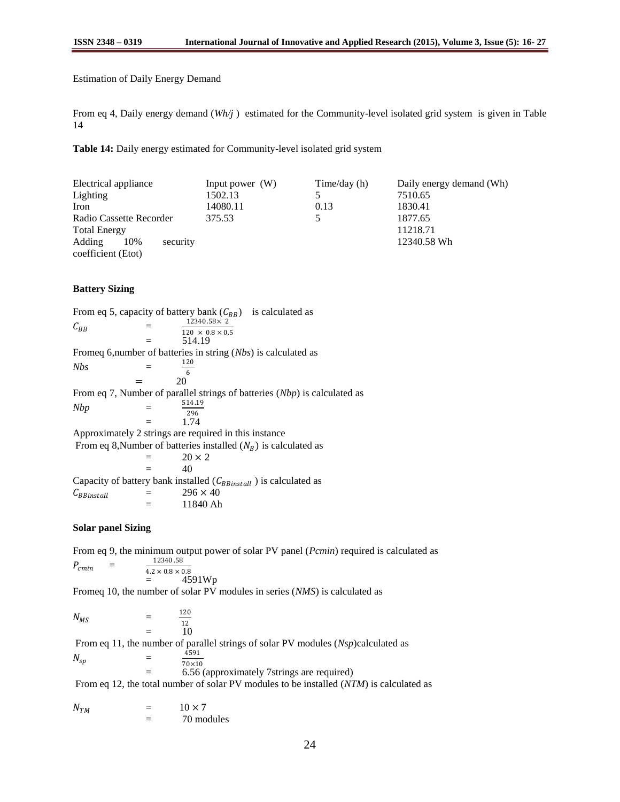Estimation of Daily Energy Demand

From eq 4, Daily energy demand (*Wh/j* ) estimated for the Community-level isolated grid system is given in Table 14

**Table 14:** Daily energy estimated for Community-level isolated grid system

| Electrical appliance      | Input power $(W)$ | Time/day $(h)$ | Daily energy demand (Wh) |
|---------------------------|-------------------|----------------|--------------------------|
| Lighting                  | 1502.13           |                | 7510.65                  |
| Iron                      | 14080.11          | 0.13           | 1830.41                  |
| Radio Cassette Recorder   | 375.53            |                | 1877.65                  |
| <b>Total Energy</b>       |                   |                | 11218.71                 |
| Adding<br>10%<br>security |                   |                | 12340.58 Wh              |
| coefficient (Etot)        |                   |                |                          |

### **Battery Sizing**

From eq 5, capacity of battery bank  $(C_{BB})$  is calculated as  $C_{BB}$  =  $12340.58 \times 2^{7}$  $120\ \times\ 0.8 \times 0.5$  $=$  514.19 Fromeq 6,number of batteries in string (*Nbs*) is calculated as  $Nbs =$ 120 6  $=$  20 From eq 7, Number of parallel strings of batteries (*Nbp*) is calculated as *Nbp* = 514.19 296  $=$  1.74 Approximately 2 strings are required in this instance From eq 8,Number of batteries installed  $(N_B)$  is calculated as  $=$  20  $\times$  2  $=$  40 Capacity of battery bank installed  $(C_{BBinstall})$  is calculated as  $C_{BBinstall} \qquad \qquad = \qquad \qquad 296 \times 40$  $=$  11840 Ah

### **Solar panel Sizing**

From eq 9, the minimum output power of solar PV panel (*Pcmin*) required is calculated as  $P_{cmin}$  = 12340 .58  $4.2 \times 0.8 \times 0.8$ 

$$
= 4591Wp
$$
  
Someq 10 the number of solar PV

Fromeq 10, the number of solar PV modules in series (*NMS*) is calculated as

 $N_{MS}$  = 120 12  $=$  10

From eq 11, the number of parallel strings of solar PV modules (*Nsp*)calculated as  $N_{sp}$  = 4591 70×10 = 6.56 (approximately 7strings are required)

From eq 12, the total number of solar PV modules to be installed (*NTM*) is calculated as

| $N_{TM}$ | _      | $10 \times 7$ |
|----------|--------|---------------|
|          | -<br>_ | 70 modules    |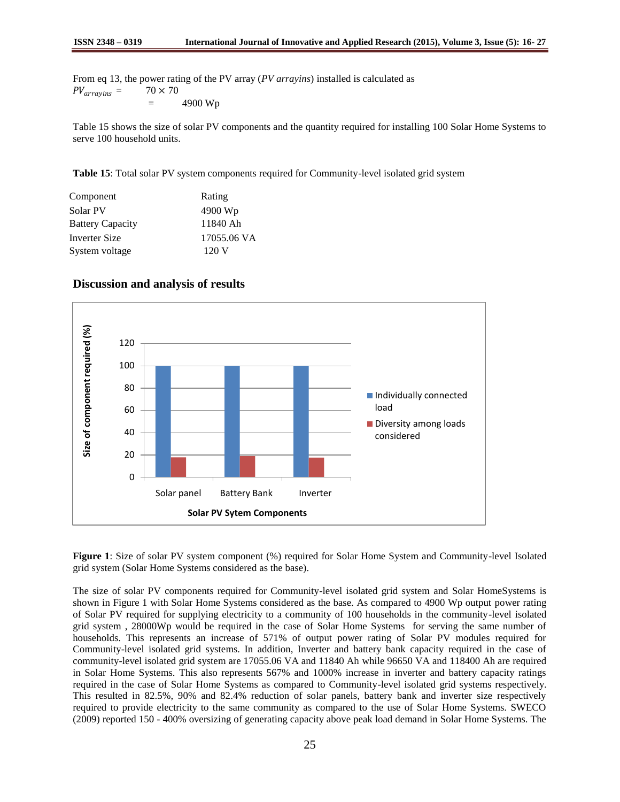From eq 13, the power rating of the PV array (*PV arrayins*) installed is calculated as  $PV_{arrayins} = 70 \times 70$  $=$  4900 Wp

Table 15 shows the size of solar PV components and the quantity required for installing 100 Solar Home Systems to serve 100 household units.

**Table 15**: Total solar PV system components required for Community-level isolated grid system

| Component               | Rating      |
|-------------------------|-------------|
| Solar PV                | 4900 Wp     |
| <b>Battery Capacity</b> | 11840 Ah    |
| Inverter Size           | 17055.06 VA |
| System voltage          | 120V        |



# **Discussion and analysis of results**

**Figure 1**: Size of solar PV system component (%) required for Solar Home System and Community-level Isolated grid system (Solar Home Systems considered as the base).

The size of solar PV components required for Community-level isolated grid system and Solar HomeSystems is shown in Figure 1 with Solar Home Systems considered as the base. As compared to 4900 Wp output power rating of Solar PV required for supplying electricity to a community of 100 households in the community-level isolated grid system , 28000Wp would be required in the case of Solar Home Systems for serving the same number of households. This represents an increase of 571% of output power rating of Solar PV modules required for Community-level isolated grid systems. In addition, Inverter and battery bank capacity required in the case of community-level isolated grid system are 17055.06 VA and 11840 Ah while 96650 VA and 118400 Ah are required in Solar Home Systems. This also represents 567% and 1000% increase in inverter and battery capacity ratings required in the case of Solar Home Systems as compared to Community-level isolated grid systems respectively. This resulted in 82.5%, 90% and 82.4% reduction of solar panels, battery bank and inverter size respectively required to provide electricity to the same community as compared to the use of Solar Home Systems. SWECO (2009) reported 150 - 400% oversizing of generating capacity above peak load demand in Solar Home Systems. The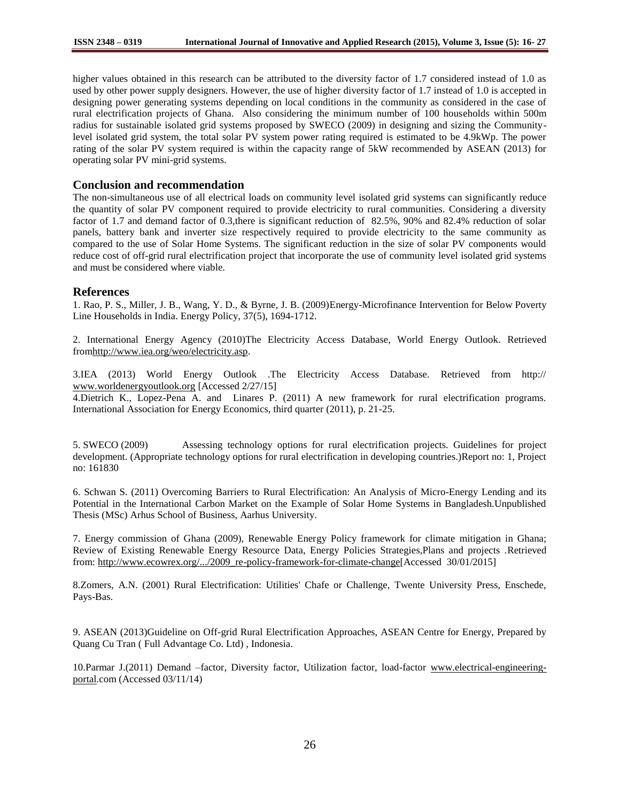higher values obtained in this research can be attributed to the diversity factor of 1.7 considered instead of 1.0 as used by other power supply designers. However, the use of higher diversity factor of 1.7 instead of 1.0 is accepted in designing power generating systems depending on local conditions in the community as considered in the case of rural electrification projects of Ghana. Also considering the minimum number of 100 households within 500m radius for sustainable isolated grid systems proposed by SWECO (2009) in designing and sizing the Communitylevel isolated grid system, the total solar PV system power rating required is estimated to be 4.9kWp. The power rating of the solar PV system required is within the capacity range of 5kW recommended by ASEAN (2013) for operating solar PV mini-grid systems.

## **Conclusion and recommendation**

The non-simultaneous use of all electrical loads on community level isolated grid systems can significantly reduce the quantity of solar PV component required to provide electricity to rural communities. Considering a diversity factor of 1.7 and demand factor of 0.3,there is significant reduction of 82.5%, 90% and 82.4% reduction of solar panels, battery bank and inverter size respectively required to provide electricity to the same community as compared to the use of Solar Home Systems. The significant reduction in the size of solar PV components would reduce cost of off-grid rural electrification project that incorporate the use of community level isolated grid systems and must be considered where viable.

## **References**

1. Rao, P. S., Miller, J. B., Wang, Y. D., & Byrne, J. B. (2009)Energy-Microfinance Intervention for Below Poverty Line Households in India. Energy Policy, 37(5), 1694-1712.

2. International Energy Agency (2010)The Electricity Access Database, World Energy Outlook. Retrieved fro[mhttp://www.iea.org/weo/electricity.asp.](http://www.iea.org/weo/electricity.asp)

3.IEA (2013) World Energy Outlook .The Electricity Access Database. Retrieved from http:// [www.worldenergyoutlook.org](http://www.worldenergyoutlook.org/) [Accessed 2/27/15]

4.Dietrich K., Lopez-Pena A. and Linares P. (2011) A new framework for rural electrification programs. International Association for Energy Economics, third quarter (2011), p. 21-25.

5. SWECO (2009) Assessing technology options for rural electrification projects. Guidelines for project development. (Appropriate technology options for rural electrification in developing countries.)Report no: 1, Project no: 161830

6. Schwan S. (2011) Overcoming Barriers to Rural Electrification: An Analysis of Micro-Energy Lending and its Potential in the International Carbon Market on the Example of Solar Home Systems in Bangladesh.Unpublished Thesis (MSc) Arhus School of Business, Aarhus University.

7. Energy commission of Ghana (2009), Renewable Energy Policy framework for climate mitigation in Ghana; Review of Existing Renewable Energy Resource Data, Energy Policies Strategies,Plans and projects .Retrieved from[: http://www.ecowrex.org/.../2009\\_re-policy-framework-for-climate-change\[](http://www.ecowrex.org/.../2009_re-policy-framework-for-climate-change)Accessed 30/01/2015]

8.Zomers, A.N. (2001) Rural Electrification: Utilities' Chafe or Challenge, Twente University Press, Enschede, Pays-Bas.

9. ASEAN (2013)Guideline on Off-grid Rural Electrification Approaches, ASEAN Centre for Energy, Prepared by Quang Cu Tran ( Full Advantage Co. Ltd) , Indonesia.

10.Parmar J.(2011) Demand –factor, Diversity factor, Utilization factor, load-factor [www.electrical-engineering](http://www.electrical-engineering-portal/)[portal.c](http://www.electrical-engineering-portal/)om (Accessed 03/11/14)